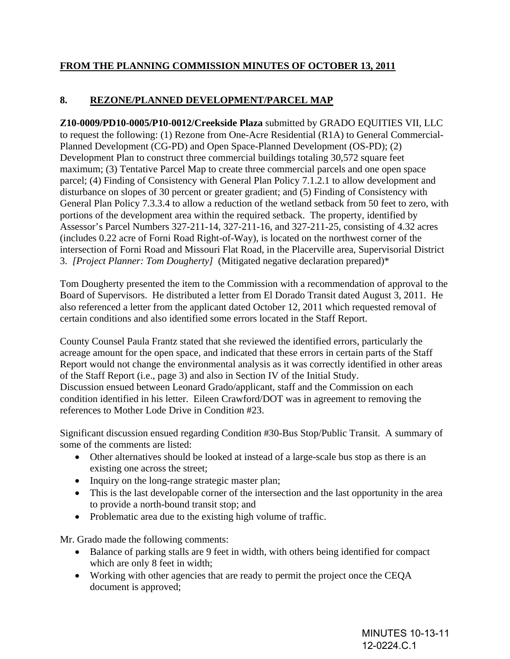## **FROM THE PLANNING COMMISSION MINUTES OF OCTOBER 13, 2011**

## **8. REZONE/PLANNED DEVELOPMENT/PARCEL MAP**

**Z10-0009/PD10-0005/P10-0012/Creekside Plaza** submitted by GRADO EQUITIES VII, LLC to request the following: (1) Rezone from One-Acre Residential (R1A) to General Commercial-Planned Development (CG-PD) and Open Space-Planned Development (OS-PD); (2) Development Plan to construct three commercial buildings totaling 30,572 square feet maximum; (3) Tentative Parcel Map to create three commercial parcels and one open space parcel; (4) Finding of Consistency with General Plan Policy 7.1.2.1 to allow development and disturbance on slopes of 30 percent or greater gradient; and (5) Finding of Consistency with General Plan Policy 7.3.3.4 to allow a reduction of the wetland setback from 50 feet to zero, with portions of the development area within the required setback. The property, identified by Assessor's Parcel Numbers 327-211-14, 327-211-16, and 327-211-25, consisting of 4.32 acres (includes 0.22 acre of Forni Road Right-of-Way), is located on the northwest corner of the intersection of Forni Road and Missouri Flat Road, in the Placerville area, Supervisorial District 3. *[Project Planner: Tom Dougherty]* (Mitigated negative declaration prepared)\*

Tom Dougherty presented the item to the Commission with a recommendation of approval to the Board of Supervisors. He distributed a letter from El Dorado Transit dated August 3, 2011. He also referenced a letter from the applicant dated October 12, 2011 which requested removal of certain conditions and also identified some errors located in the Staff Report.

County Counsel Paula Frantz stated that she reviewed the identified errors, particularly the acreage amount for the open space, and indicated that these errors in certain parts of the Staff Report would not change the environmental analysis as it was correctly identified in other areas of the Staff Report (i.e., page 3) and also in Section IV of the Initial Study. Discussion ensued between Leonard Grado/applicant, staff and the Commission on each condition identified in his letter. Eileen Crawford/DOT was in agreement to removing the references to Mother Lode Drive in Condition #23.

Significant discussion ensued regarding Condition #30-Bus Stop/Public Transit. A summary of some of the comments are listed:

- Other alternatives should be looked at instead of a large-scale bus stop as there is an existing one across the street;
- Inquiry on the long-range strategic master plan;
- This is the last developable corner of the intersection and the last opportunity in the area to provide a north-bound transit stop; and
- Problematic area due to the existing high volume of traffic.

Mr. Grado made the following comments:

- Balance of parking stalls are 9 feet in width, with others being identified for compact which are only 8 feet in width;
- Working with other agencies that are ready to permit the project once the CEQA document is approved;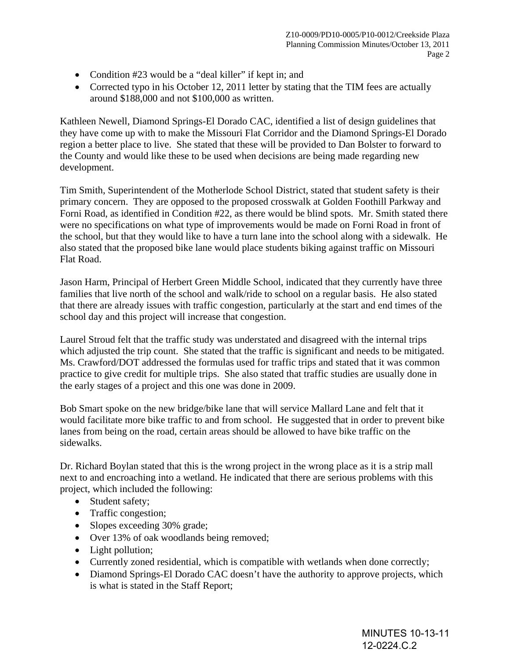- Condition #23 would be a "deal killer" if kept in; and
- Corrected typo in his October 12, 2011 letter by stating that the TIM fees are actually around \$188,000 and not \$100,000 as written.

Kathleen Newell, Diamond Springs-El Dorado CAC, identified a list of design guidelines that they have come up with to make the Missouri Flat Corridor and the Diamond Springs-El Dorado region a better place to live. She stated that these will be provided to Dan Bolster to forward to the County and would like these to be used when decisions are being made regarding new development.

Tim Smith, Superintendent of the Motherlode School District, stated that student safety is their primary concern. They are opposed to the proposed crosswalk at Golden Foothill Parkway and Forni Road, as identified in Condition #22, as there would be blind spots. Mr. Smith stated there were no specifications on what type of improvements would be made on Forni Road in front of the school, but that they would like to have a turn lane into the school along with a sidewalk. He also stated that the proposed bike lane would place students biking against traffic on Missouri Flat Road.

Jason Harm, Principal of Herbert Green Middle School, indicated that they currently have three families that live north of the school and walk/ride to school on a regular basis. He also stated that there are already issues with traffic congestion, particularly at the start and end times of the school day and this project will increase that congestion.

Laurel Stroud felt that the traffic study was understated and disagreed with the internal trips which adjusted the trip count. She stated that the traffic is significant and needs to be mitigated. Ms. Crawford/DOT addressed the formulas used for traffic trips and stated that it was common practice to give credit for multiple trips. She also stated that traffic studies are usually done in the early stages of a project and this one was done in 2009.

Bob Smart spoke on the new bridge/bike lane that will service Mallard Lane and felt that it would facilitate more bike traffic to and from school. He suggested that in order to prevent bike lanes from being on the road, certain areas should be allowed to have bike traffic on the sidewalks.

Dr. Richard Boylan stated that this is the wrong project in the wrong place as it is a strip mall next to and encroaching into a wetland. He indicated that there are serious problems with this project, which included the following:

- Student safety;
- Traffic congestion:
- Slopes exceeding 30% grade;
- Over 13% of oak woodlands being removed;
- Light pollution;
- Currently zoned residential, which is compatible with wetlands when done correctly;
- Diamond Springs-El Dorado CAC doesn't have the authority to approve projects, which is what is stated in the Staff Report;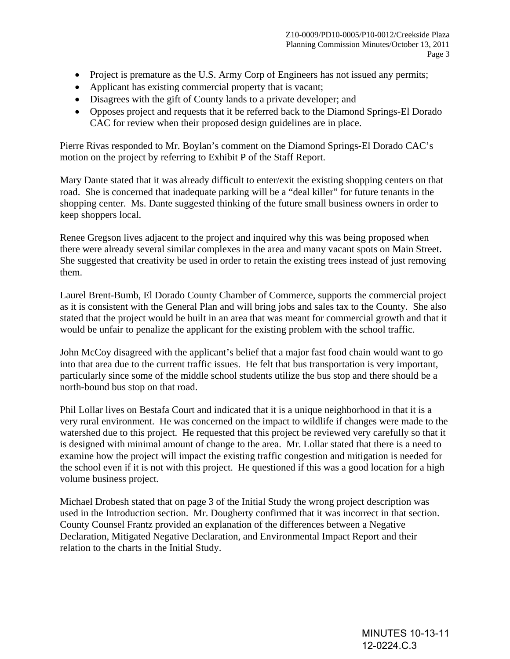- Project is premature as the U.S. Army Corp of Engineers has not issued any permits;
- Applicant has existing commercial property that is vacant;
- Disagrees with the gift of County lands to a private developer; and
- Opposes project and requests that it be referred back to the Diamond Springs-El Dorado CAC for review when their proposed design guidelines are in place.

Pierre Rivas responded to Mr. Boylan's comment on the Diamond Springs-El Dorado CAC's motion on the project by referring to Exhibit P of the Staff Report.

Mary Dante stated that it was already difficult to enter/exit the existing shopping centers on that road. She is concerned that inadequate parking will be a "deal killer" for future tenants in the shopping center. Ms. Dante suggested thinking of the future small business owners in order to keep shoppers local.

Renee Gregson lives adjacent to the project and inquired why this was being proposed when there were already several similar complexes in the area and many vacant spots on Main Street. She suggested that creativity be used in order to retain the existing trees instead of just removing them.

Laurel Brent-Bumb, El Dorado County Chamber of Commerce, supports the commercial project as it is consistent with the General Plan and will bring jobs and sales tax to the County. She also stated that the project would be built in an area that was meant for commercial growth and that it would be unfair to penalize the applicant for the existing problem with the school traffic.

John McCoy disagreed with the applicant's belief that a major fast food chain would want to go into that area due to the current traffic issues. He felt that bus transportation is very important, particularly since some of the middle school students utilize the bus stop and there should be a north-bound bus stop on that road.

Phil Lollar lives on Bestafa Court and indicated that it is a unique neighborhood in that it is a very rural environment. He was concerned on the impact to wildlife if changes were made to the watershed due to this project. He requested that this project be reviewed very carefully so that it is designed with minimal amount of change to the area. Mr. Lollar stated that there is a need to examine how the project will impact the existing traffic congestion and mitigation is needed for the school even if it is not with this project. He questioned if this was a good location for a high volume business project.

Michael Drobesh stated that on page 3 of the Initial Study the wrong project description was used in the Introduction section. Mr. Dougherty confirmed that it was incorrect in that section. County Counsel Frantz provided an explanation of the differences between a Negative Declaration, Mitigated Negative Declaration, and Environmental Impact Report and their relation to the charts in the Initial Study.

> MINUTES 10-13-11 12-0224.C.3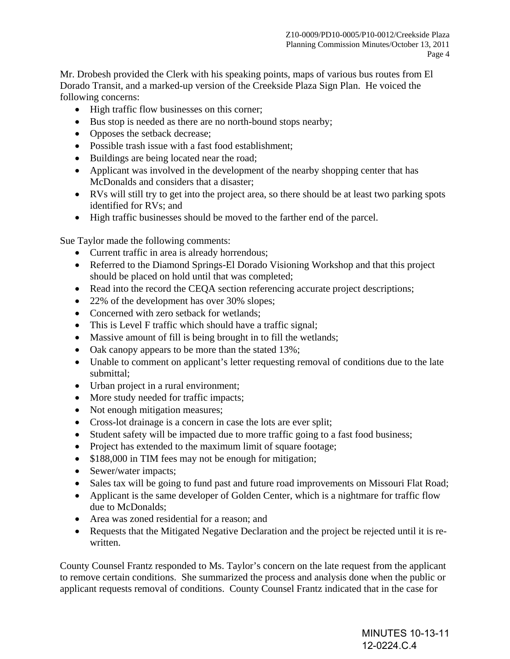Mr. Drobesh provided the Clerk with his speaking points, maps of various bus routes from El Dorado Transit, and a marked-up version of the Creekside Plaza Sign Plan. He voiced the following concerns:

- High traffic flow businesses on this corner;
- Bus stop is needed as there are no north-bound stops nearby;
- Opposes the setback decrease;
- Possible trash issue with a fast food establishment;
- Buildings are being located near the road;
- Applicant was involved in the development of the nearby shopping center that has McDonalds and considers that a disaster;
- RVs will still try to get into the project area, so there should be at least two parking spots identified for RVs; and
- High traffic businesses should be moved to the farther end of the parcel.

Sue Taylor made the following comments:

- Current traffic in area is already horrendous;
- Referred to the Diamond Springs-El Dorado Visioning Workshop and that this project should be placed on hold until that was completed;
- Read into the record the CEQA section referencing accurate project descriptions;
- 22% of the development has over 30% slopes;
- Concerned with zero setback for wetlands:
- This is Level F traffic which should have a traffic signal;
- Massive amount of fill is being brought in to fill the wetlands;
- Oak canopy appears to be more than the stated 13%;
- Unable to comment on applicant's letter requesting removal of conditions due to the late submittal;
- Urban project in a rural environment;
- More study needed for traffic impacts;
- Not enough mitigation measures;
- Cross-lot drainage is a concern in case the lots are ever split;
- Student safety will be impacted due to more traffic going to a fast food business;
- Project has extended to the maximum limit of square footage;
- \$188,000 in TIM fees may not be enough for mitigation;
- Sewer/water impacts;
- Sales tax will be going to fund past and future road improvements on Missouri Flat Road;
- Applicant is the same developer of Golden Center, which is a nightmare for traffic flow due to McDonalds;
- Area was zoned residential for a reason; and
- Requests that the Mitigated Negative Declaration and the project be rejected until it is rewritten.

County Counsel Frantz responded to Ms. Taylor's concern on the late request from the applicant to remove certain conditions. She summarized the process and analysis done when the public or applicant requests removal of conditions. County Counsel Frantz indicated that in the case for

> MINUTES 10-13-11 12-0224.C.4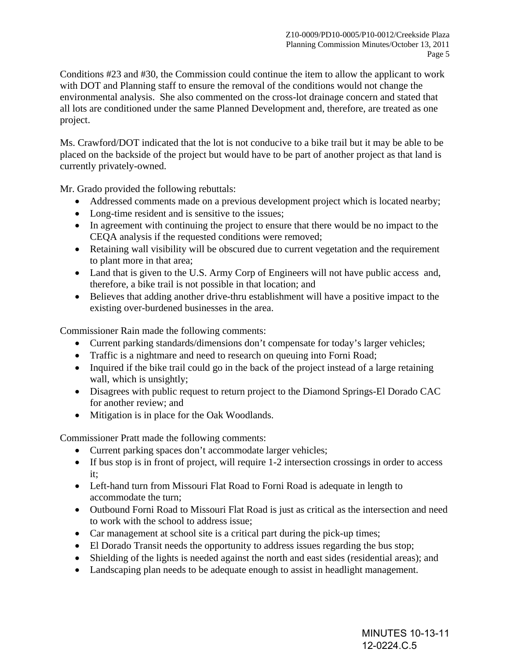Conditions #23 and #30, the Commission could continue the item to allow the applicant to work with DOT and Planning staff to ensure the removal of the conditions would not change the environmental analysis. She also commented on the cross-lot drainage concern and stated that all lots are conditioned under the same Planned Development and, therefore, are treated as one project.

Ms. Crawford/DOT indicated that the lot is not conducive to a bike trail but it may be able to be placed on the backside of the project but would have to be part of another project as that land is currently privately-owned.

Mr. Grado provided the following rebuttals:

- Addressed comments made on a previous development project which is located nearby;
- Long-time resident and is sensitive to the issues;
- In agreement with continuing the project to ensure that there would be no impact to the CEQA analysis if the requested conditions were removed;
- Retaining wall visibility will be obscured due to current vegetation and the requirement to plant more in that area;
- Land that is given to the U.S. Army Corp of Engineers will not have public access and, therefore, a bike trail is not possible in that location; and
- Believes that adding another drive-thru establishment will have a positive impact to the existing over-burdened businesses in the area.

Commissioner Rain made the following comments:

- Current parking standards/dimensions don't compensate for today's larger vehicles;
- Traffic is a nightmare and need to research on queuing into Forni Road;
- Inquired if the bike trail could go in the back of the project instead of a large retaining wall, which is unsightly;
- Disagrees with public request to return project to the Diamond Springs-El Dorado CAC for another review; and
- Mitigation is in place for the Oak Woodlands.

Commissioner Pratt made the following comments:

- Current parking spaces don't accommodate larger vehicles;
- If bus stop is in front of project, will require 1-2 intersection crossings in order to access it;
- Left-hand turn from Missouri Flat Road to Forni Road is adequate in length to accommodate the turn;
- Outbound Forni Road to Missouri Flat Road is just as critical as the intersection and need to work with the school to address issue;
- Car management at school site is a critical part during the pick-up times;
- El Dorado Transit needs the opportunity to address issues regarding the bus stop;
- Shielding of the lights is needed against the north and east sides (residential areas); and
- Landscaping plan needs to be adequate enough to assist in headlight management.